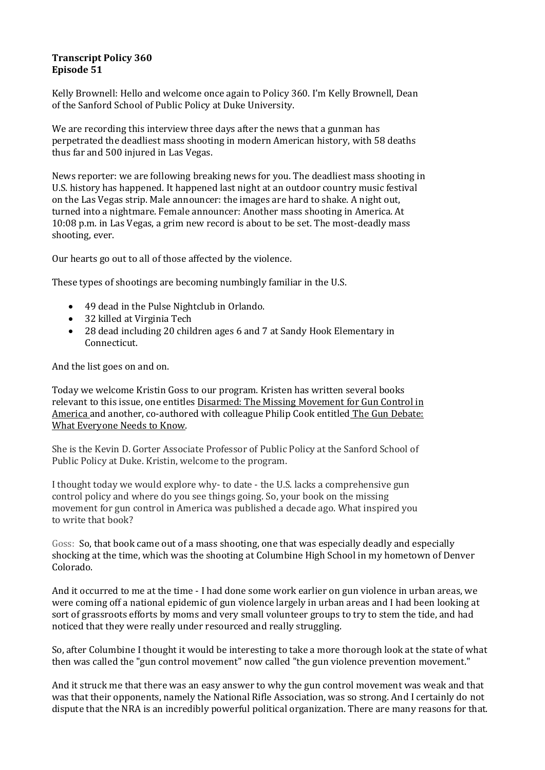## **Transcript Policy 360 Episode 51**

Kelly Brownell: Hello and welcome once again to Policy 360. I'm Kelly Brownell, Dean of the Sanford School of Public Policy at Duke University.

We are recording this interview three days after the news that a gunman has perpetrated the deadliest mass shooting in modern American history, with 58 deaths thus far and 500 injured in Las Vegas.

News reporter: we are following breaking news for you. The deadliest mass shooting in U.S. history has happened. It happened last night at an outdoor country music festival on the Las Vegas strip. Male announcer: the images are hard to shake. A night out, turned into a nightmare. Female announcer: Another mass shooting in America. At 10:08 p.m. in Las Vegas, a grim new record is about to be set. The most-deadly mass shooting, ever.

Our hearts go out to all of those affected by the violence.

These types of shootings are becoming numbingly familiar in the U.S.

- 49 dead in the Pulse Nightclub in Orlando.
- 32 killed at Virginia Tech
- 28 dead including 20 children ages 6 and 7 at Sandy Hook Elementary in Connecticut.

And the list goes on and on.

Today we welcome Kristin Goss to our program. Kristen has written several books relevant to this issue, one entitles Disarmed: The Missing Movement for Gun Control in America and another, co-authored with colleague Philip Cook entitled The Gun Debate: What Everyone Needs to Know.

She is the Kevin D. Gorter Associate Professor of Public Policy at the Sanford School of Public Policy at Duke. Kristin, welcome to the program.

I thought today we would explore why- to date - the U.S. lacks a comprehensive gun control policy and where do you see things going. So, your book on the missing movement for gun control in America was published a decade ago. What inspired you to write that book?

Goss: So, that book came out of a mass shooting, one that was especially deadly and especially shocking at the time, which was the shooting at Columbine High School in my hometown of Denver Colorado.

And it occurred to me at the time - I had done some work earlier on gun violence in urban areas, we were coming off a national epidemic of gun violence largely in urban areas and I had been looking at sort of grassroots efforts by moms and very small volunteer groups to try to stem the tide, and had noticed that they were really under resourced and really struggling.

So, after Columbine I thought it would be interesting to take a more thorough look at the state of what then was called the "gun control movement" now called "the gun violence prevention movement."

And it struck me that there was an easy answer to why the gun control movement was weak and that was that their opponents, namely the National Rifle Association, was so strong. And I certainly do not dispute that the NRA is an incredibly powerful political organization. There are many reasons for that.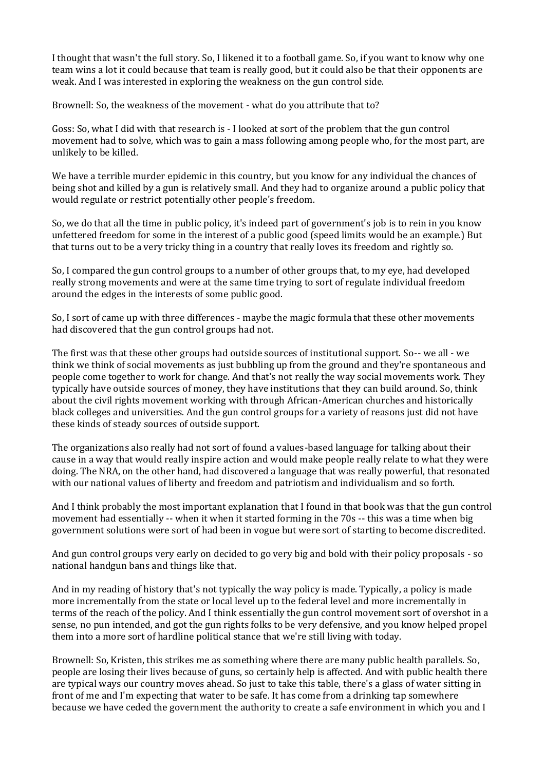I thought that wasn't the full story. So, I likened it to a football game. So, if you want to know why one team wins a lot it could because that team is really good, but it could also be that their opponents are weak. And I was interested in exploring the weakness on the gun control side.

Brownell: So, the weakness of the movement - what do you attribute that to?

Goss: So, what I did with that research is - I looked at sort of the problem that the gun control movement had to solve, which was to gain a mass following among people who, for the most part, are unlikely to be killed.

We have a terrible murder epidemic in this country, but you know for any individual the chances of being shot and killed by a gun is relatively small. And they had to organize around a public policy that would regulate or restrict potentially other people's freedom.

So, we do that all the time in public policy, it's indeed part of government's job is to rein in you know unfettered freedom for some in the interest of a public good (speed limits would be an example.) But that turns out to be a very tricky thing in a country that really loves its freedom and rightly so.

So, I compared the gun control groups to a number of other groups that, to my eye, had developed really strong movements and were at the same time trying to sort of regulate individual freedom around the edges in the interests of some public good.

So, I sort of came up with three differences - maybe the magic formula that these other movements had discovered that the gun control groups had not.

The first was that these other groups had outside sources of institutional support. So-- we all - we think we think of social movements as just bubbling up from the ground and they're spontaneous and people come together to work for change. And that's not really the way social movements work. They typically have outside sources of money, they have institutions that they can build around. So, think about the civil rights movement working with through African-American churches and historically black colleges and universities. And the gun control groups for a variety of reasons just did not have these kinds of steady sources of outside support.

The organizations also really had not sort of found a values-based language for talking about their cause in a way that would really inspire action and would make people really relate to what they were doing. The NRA, on the other hand, had discovered a language that was really powerful, that resonated with our national values of liberty and freedom and patriotism and individualism and so forth.

And I think probably the most important explanation that I found in that book was that the gun control movement had essentially -- when it when it started forming in the 70s -- this was a time when big government solutions were sort of had been in vogue but were sort of starting to become discredited.

And gun control groups very early on decided to go very big and bold with their policy proposals - so national handgun bans and things like that.

And in my reading of history that's not typically the way policy is made. Typically, a policy is made more incrementally from the state or local level up to the federal level and more incrementally in terms of the reach of the policy. And I think essentially the gun control movement sort of overshot in a sense, no pun intended, and got the gun rights folks to be very defensive, and you know helped propel them into a more sort of hardline political stance that we're still living with today.

Brownell: So, Kristen, this strikes me as something where there are many public health parallels. So, people are losing their lives because of guns, so certainly help is affected. And with public health there are typical ways our country moves ahead. So just to take this table, there's a glass of water sitting in front of me and I'm expecting that water to be safe. It has come from a drinking tap somewhere because we have ceded the government the authority to create a safe environment in which you and I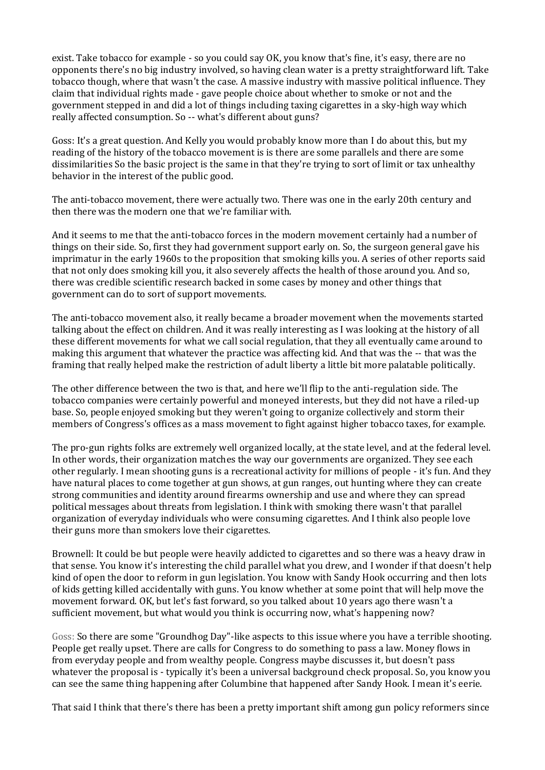exist. Take tobacco for example - so you could say OK, you know that's fine, it's easy, there are no opponents there's no big industry involved, so having clean water is a pretty straightforward lift. Take tobacco though, where that wasn't the case. A massive industry with massive political influence. They claim that individual rights made - gave people choice about whether to smoke or not and the government stepped in and did a lot of things including taxing cigarettes in a sky-high way which really affected consumption. So -- what's different about guns?

Goss: It's a great question. And Kelly you would probably know more than I do about this, but my reading of the history of the tobacco movement is is there are some parallels and there are some dissimilarities So the basic project is the same in that they're trying to sort of limit or tax unhealthy behavior in the interest of the public good.

The anti-tobacco movement, there were actually two. There was one in the early 20th century and then there was the modern one that we're familiar with.

And it seems to me that the anti-tobacco forces in the modern movement certainly had a number of things on their side. So, first they had government support early on. So, the surgeon general gave his imprimatur in the early 1960s to the proposition that smoking kills you. A series of other reports said that not only does smoking kill you, it also severely affects the health of those around you. And so, there was credible scientific research backed in some cases by money and other things that government can do to sort of support movements.

The anti-tobacco movement also, it really became a broader movement when the movements started talking about the effect on children. And it was really interesting as I was looking at the history of all these different movements for what we call social regulation, that they all eventually came around to making this argument that whatever the practice was affecting kid. And that was the -- that was the framing that really helped make the restriction of adult liberty a little bit more palatable politically.

The other difference between the two is that, and here we'll flip to the anti-regulation side. The tobacco companies were certainly powerful and moneyed interests, but they did not have a riled-up base. So, people enjoyed smoking but they weren't going to organize collectively and storm their members of Congress's offices as a mass movement to fight against higher tobacco taxes, for example.

The pro-gun rights folks are extremely well organized locally, at the state level, and at the federal level. In other words, their organization matches the way our governments are organized. They see each other regularly. I mean shooting guns is a recreational activity for millions of people - it's fun. And they have natural places to come together at gun shows, at gun ranges, out hunting where they can create strong communities and identity around firearms ownership and use and where they can spread political messages about threats from legislation. I think with smoking there wasn't that parallel organization of everyday individuals who were consuming cigarettes. And I think also people love their guns more than smokers love their cigarettes.

Brownell: It could be but people were heavily addicted to cigarettes and so there was a heavy draw in that sense. You know it's interesting the child parallel what you drew, and I wonder if that doesn't help kind of open the door to reform in gun legislation. You know with Sandy Hook occurring and then lots of kids getting killed accidentally with guns. You know whether at some point that will help move the movement forward. OK, but let's fast forward, so you talked about 10 years ago there wasn't a sufficient movement, but what would you think is occurring now, what's happening now?

Goss: So there are some "Groundhog Day"-like aspects to this issue where you have a terrible shooting. People get really upset. There are calls for Congress to do something to pass a law. Money flows in from everyday people and from wealthy people. Congress maybe discusses it, but doesn't pass whatever the proposal is - typically it's been a universal background check proposal. So, you know you can see the same thing happening after Columbine that happened after Sandy Hook. I mean it's eerie.

That said I think that there's there has been a pretty important shift among gun policy reformers since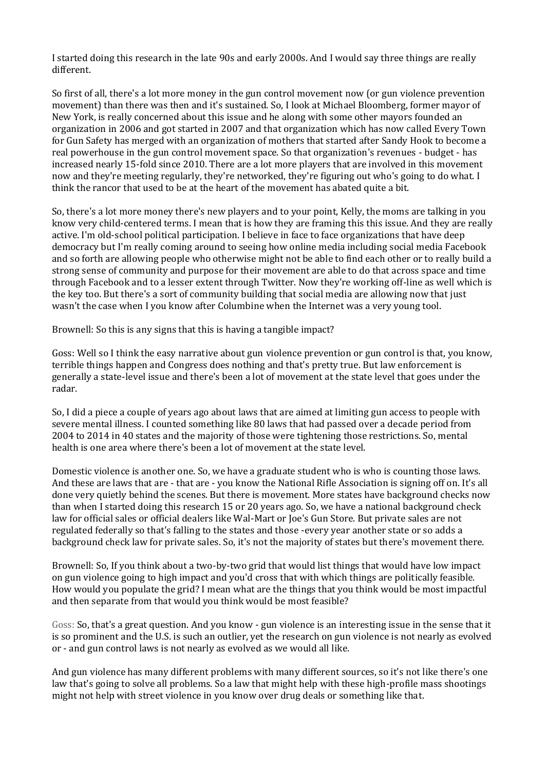I started doing this research in the late 90s and early 2000s. And I would say three things are really different.

So first of all, there's a lot more money in the gun control movement now (or gun violence prevention movement) than there was then and it's sustained. So, I look at Michael Bloomberg, former mayor of New York, is really concerned about this issue and he along with some other mayors founded an organization in 2006 and got started in 2007 and that organization which has now called Every Town for Gun Safety has merged with an organization of mothers that started after Sandy Hook to become a real powerhouse in the gun control movement space. So that organization's revenues - budget - has increased nearly 15-fold since 2010. There are a lot more players that are involved in this movement now and they're meeting regularly, they're networked, they're figuring out who's going to do what. I think the rancor that used to be at the heart of the movement has abated quite a bit.

So, there's a lot more money there's new players and to your point, Kelly, the moms are talking in you know very child-centered terms. I mean that is how they are framing this this issue. And they are really active. I'm old-school political participation. I believe in face to face organizations that have deep democracy but I'm really coming around to seeing how online media including social media Facebook and so forth are allowing people who otherwise might not be able to find each other or to really build a strong sense of community and purpose for their movement are able to do that across space and time through Facebook and to a lesser extent through Twitter. Now they're working off-line as well which is the key too. But there's a sort of community building that social media are allowing now that just wasn't the case when I you know after Columbine when the Internet was a very young tool.

Brownell: So this is any signs that this is having a tangible impact?

Goss: Well so I think the easy narrative about gun violence prevention or gun control is that, you know, terrible things happen and Congress does nothing and that's pretty true. But law enforcement is generally a state-level issue and there's been a lot of movement at the state level that goes under the radar.

So, I did a piece a couple of years ago about laws that are aimed at limiting gun access to people with severe mental illness. I counted something like 80 laws that had passed over a decade period from 2004 to 2014 in 40 states and the majority of those were tightening those restrictions. So, mental health is one area where there's been a lot of movement at the state level.

Domestic violence is another one. So, we have a graduate student who is who is counting those laws. And these are laws that are - that are - you know the National Rifle Association is signing off on. It's all done very quietly behind the scenes. But there is movement. More states have background checks now than when I started doing this research 15 or 20 years ago. So, we have a national background check law for official sales or official dealers like Wal-Mart or Joe's Gun Store. But private sales are not regulated federally so that's falling to the states and those -every year another state or so adds a background check law for private sales. So, it's not the majority of states but there's movement there.

Brownell: So, If you think about a two-by-two grid that would list things that would have low impact on gun violence going to high impact and you'd cross that with which things are politically feasible. How would you populate the grid? I mean what are the things that you think would be most impactful and then separate from that would you think would be most feasible?

Goss: So, that's a great question. And you know - gun violence is an interesting issue in the sense that it is so prominent and the U.S. is such an outlier, yet the research on gun violence is not nearly as evolved or - and gun control laws is not nearly as evolved as we would all like.

And gun violence has many different problems with many different sources, so it's not like there's one law that's going to solve all problems. So a law that might help with these high-profile mass shootings might not help with street violence in you know over drug deals or something like that.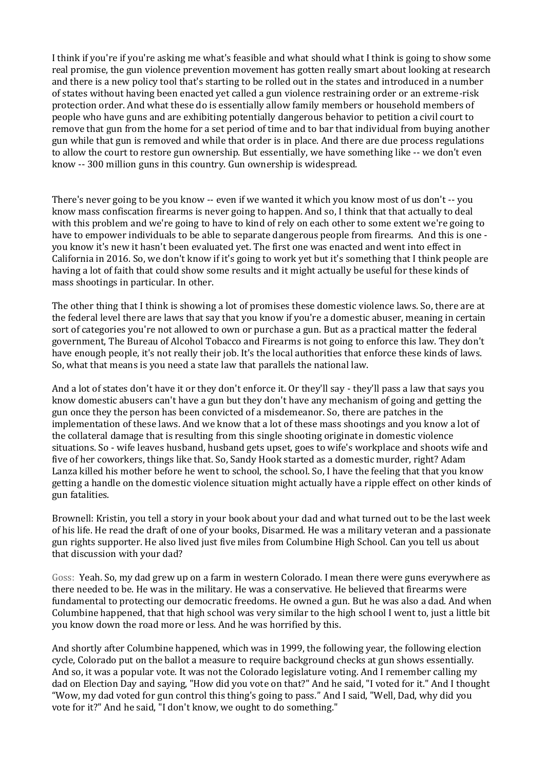I think if you're if you're asking me what's feasible and what should what I think is going to show some real promise, the gun violence prevention movement has gotten really smart about looking at research and there is a new policy tool that's starting to be rolled out in the states and introduced in a number of states without having been enacted yet called a gun violence restraining order or an extreme-risk protection order. And what these do is essentially allow family members or household members of people who have guns and are exhibiting potentially dangerous behavior to petition a civil court to remove that gun from the home for a set period of time and to bar that individual from buying another gun while that gun is removed and while that order is in place. And there are due process regulations to allow the court to restore gun ownership. But essentially, we have something like -- we don't even know -- 300 million guns in this country. Gun ownership is widespread.

There's never going to be you know -- even if we wanted it which you know most of us don't -- you know mass confiscation firearms is never going to happen. And so, I think that that actually to deal with this problem and we're going to have to kind of rely on each other to some extent we're going to have to empower individuals to be able to separate dangerous people from firearms. And this is one you know it's new it hasn't been evaluated yet. The first one was enacted and went into effect in California in 2016. So, we don't know if it's going to work yet but it's something that I think people are having a lot of faith that could show some results and it might actually be useful for these kinds of mass shootings in particular. In other.

The other thing that I think is showing a lot of promises these domestic violence laws. So, there are at the federal level there are laws that say that you know if you're a domestic abuser, meaning in certain sort of categories you're not allowed to own or purchase a gun. But as a practical matter the federal government, The Bureau of Alcohol Tobacco and Firearms is not going to enforce this law. They don't have enough people, it's not really their job. It's the local authorities that enforce these kinds of laws. So, what that means is you need a state law that parallels the national law.

And a lot of states don't have it or they don't enforce it. Or they'll say - they'll pass a law that says you know domestic abusers can't have a gun but they don't have any mechanism of going and getting the gun once they the person has been convicted of a misdemeanor. So, there are patches in the implementation of these laws. And we know that a lot of these mass shootings and you know a lot of the collateral damage that is resulting from this single shooting originate in domestic violence situations. So - wife leaves husband, husband gets upset, goes to wife's workplace and shoots wife and five of her coworkers, things like that. So, Sandy Hook started as a domestic murder, right? Adam Lanza killed his mother before he went to school, the school. So, I have the feeling that that you know getting a handle on the domestic violence situation might actually have a ripple effect on other kinds of gun fatalities.

Brownell: Kristin, you tell a story in your book about your dad and what turned out to be the last week of his life. He read the draft of one of your books, Disarmed. He was a military veteran and a passionate gun rights supporter. He also lived just five miles from Columbine High School. Can you tell us about that discussion with your dad?

Goss: Yeah. So, my dad grew up on a farm in western Colorado. I mean there were guns everywhere as there needed to be. He was in the military. He was a conservative. He believed that firearms were fundamental to protecting our democratic freedoms. He owned a gun. But he was also a dad. And when Columbine happened, that that high school was very similar to the high school I went to, just a little bit you know down the road more or less. And he was horrified by this.

And shortly after Columbine happened, which was in 1999, the following year, the following election cycle, Colorado put on the ballot a measure to require background checks at gun shows essentially. And so, it was a popular vote. It was not the Colorado legislature voting. And I remember calling my dad on Election Day and saying, "How did you vote on that?" And he said, "I voted for it." And I thought "Wow, my dad voted for gun control this thing's going to pass." And I said, "Well, Dad, why did you vote for it?" And he said, "I don't know, we ought to do something."